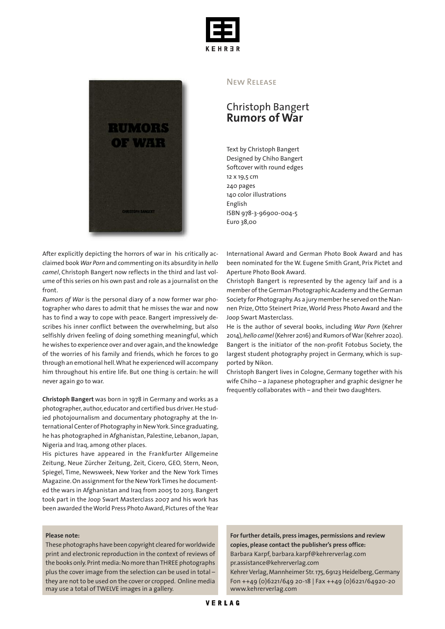



After explicitly depicting the horrors of war in his critically acclaimed book *War Porn* and commenting on its absurdity in *hello camel*, Christoph Bangert now reflects in the third and last volume of this series on his own past and role as a journalist on the front.

*Rumors of War* is the personal diary of a now former war photographer who dares to admit that he misses the war and now has to find a way to cope with peace. Bangert impressively describes his inner conflict between the overwhelming, but also selfishly driven feeling of doing something meaningful, which he wishes to experience over and over again,and the knowledge of the worries of his family and friends, which he forces to go through an emotional hell.What he experiencedwill accompany him throughout his entire life. But one thing is certain: he will never again go to war.

**Christoph Bangert** was born in 1978 in Germany and works as a photographer, author, educator and certified bus driver. He studied photojournalism and documentary photography at the International Center of Photography in NewYork.Since graduating, he has photographed in Afghanistan, Palestine, Lebanon,Japan, Nigeria and Iraq, among other places.

His pictures have appeared in the Frankfurter Allgemeine Zeitung, Neue Zürcher Zeitung, Zeit, Cicero, GEO, Stern, Neon, Spiegel, Time, Newsweek, New Yorker and the New York Times Magazine. On assignment for the New York Times he documented the wars in Afghanistan and Iraq from 2005 to 2013. Bangert took part in the Joop Swart Masterclass 2007 and his work has been awarded theWorld Press Photo Award, Pictures of the Year

## **Please note:**

These photographs have been copyright cleared forworldwide print and electronic reproduction in the context of reviews of the books only.Print media:No more thanTHREE photographs plus the cover image from the selection can be used in total – they are not to be used on the cover or cropped. Online media may use a total of TWELVE images in a gallery.

## New Release

## Christoph Bangert **Rumors of War**

Text by Christoph Bangert Designed by Chiho Bangert Softcover with round edges 12 x 19,5 cm 240 pages 140 color illustrations English ISBN 978-3-96900-004-5 Euro 38,00

International Award and German Photo Book Award and has been nominated for the W. Eugene Smith Grant, Prix Pictet and Aperture Photo Book Award.

Christoph Bangert is represented by the agency laif and is a member of the German Photographic Academy and the German Society for Photography.As a jury member he served on the Nannen Prize, Otto Steinert Prize,World Press Photo Award and the Joop Swart Masterclass.

He is the author of several books, including *War Porn* (Kehrer 2014),*hello camel* (Kehrer 2016) and Rumors ofWar(Kehrer 2020). Bangert is the initiator of the non-profit Fotobus Society, the largest student photography project in Germany, which is supported by Nikon.

Christoph Bangert lives in Cologne, Germany together with his wife Chiho – a Japanese photographer and graphic designer he frequently collaborates with – and their two daughters.

**For further details, press images, permissions and review copies, please contact the publisher's press office:** Barbara Karpf, barbara.karpf@kehrerverlag.com pr.assistance@kehrerverlag.com Kehrer Verlag, Mannheimer Str. 175, 69123 Heidelberg, Germany

Fon ++49 (0)6221/649 20-18 | Fax ++49 (0)6221/64920-20 www.kehrerverlag.com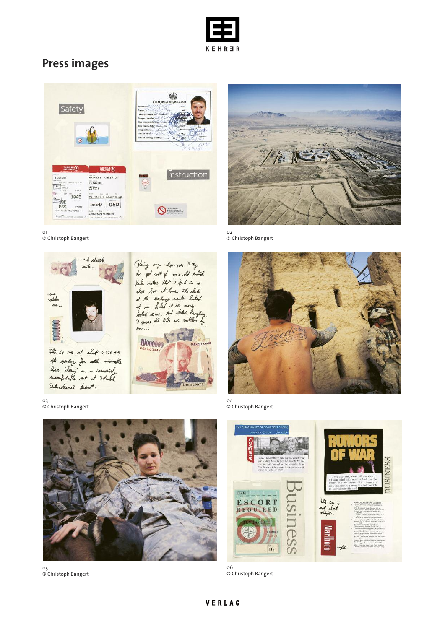

## **Press images**





02 © Christoph Bangert



04 © Christoph Bangert



© Christoph Bangert

01 © Christoph Bangert



03 © Christoph Bangert



05 © Christoph Bangert